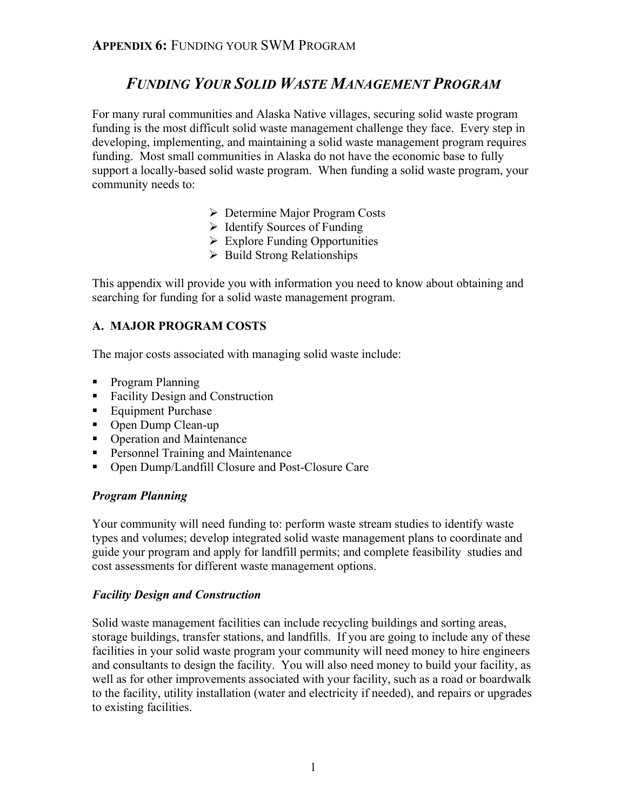# *FUNDING YOUR SOLID WASTE MANAGEMENT PROGRAM*

For many rural communities and Alaska Native villages, securing solid waste program funding is the most difficult solid waste management challenge they face. Every step in developing, implementing, and maintaining a solid waste management program requires funding. Most small communities in Alaska do not have the economic base to fully support a locally-based solid waste program. When funding a solid waste program, your community needs to:

- ¾ Determine Major Program Costs
- $\triangleright$  Identify Sources of Funding
- $\triangleright$  Explore Funding Opportunities
- $\triangleright$  Build Strong Relationships

This appendix will provide you with information you need to know about obtaining and searching for funding for a solid waste management program.

# **A. MAJOR PROGRAM COSTS**

The major costs associated with managing solid waste include:

- Program Planning
- Facility Design and Construction
- Equipment Purchase
- Open Dump Clean-up
- Operation and Maintenance
- **Personnel Training and Maintenance**
- Open Dump/Landfill Closure and Post-Closure Care

#### *Program Planning*

Your community will need funding to: perform waste stream studies to identify waste types and volumes; develop integrated solid waste management plans to coordinate and guide your program and apply for landfill permits; and complete feasibility studies and cost assessments for different waste management options.

# *Facility Design and Construction*

Solid waste management facilities can include recycling buildings and sorting areas, storage buildings, transfer stations, and landfills. If you are going to include any of these facilities in your solid waste program your community will need money to hire engineers and consultants to design the facility. You will also need money to build your facility, as well as for other improvements associated with your facility, such as a road or boardwalk to the facility, utility installation (water and electricity if needed), and repairs or upgrades to existing facilities.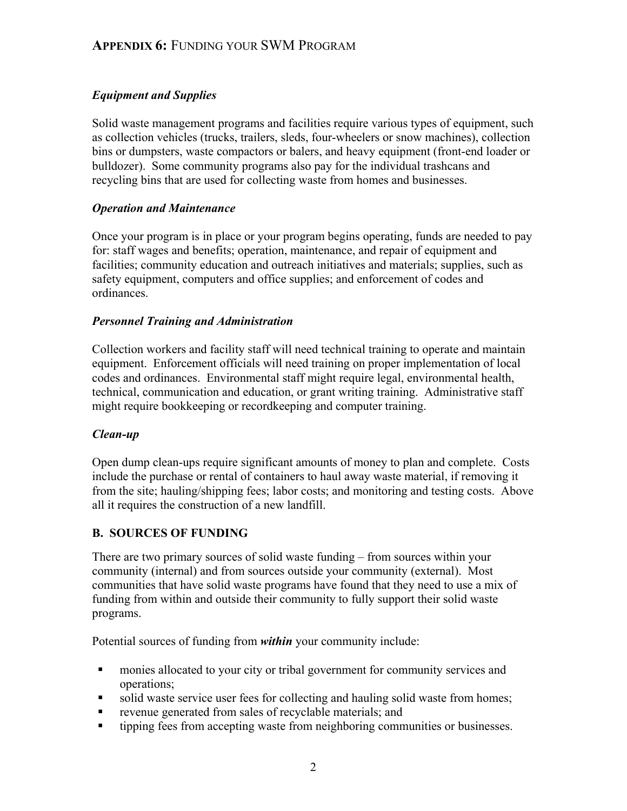# *Equipment and Supplies*

Solid waste management programs and facilities require various types of equipment, such as collection vehicles (trucks, trailers, sleds, four-wheelers or snow machines), collection bins or dumpsters, waste compactors or balers, and heavy equipment (front-end loader or bulldozer). Some community programs also pay for the individual trashcans and recycling bins that are used for collecting waste from homes and businesses.

# *Operation and Maintenance*

Once your program is in place or your program begins operating, funds are needed to pay for: staff wages and benefits; operation, maintenance, and repair of equipment and facilities; community education and outreach initiatives and materials; supplies, such as safety equipment, computers and office supplies; and enforcement of codes and ordinances.

# *Personnel Training and Administration*

Collection workers and facility staff will need technical training to operate and maintain equipment. Enforcement officials will need training on proper implementation of local codes and ordinances. Environmental staff might require legal, environmental health, technical, communication and education, or grant writing training. Administrative staff might require bookkeeping or recordkeeping and computer training.

# *Clean-up*

Open dump clean-ups require significant amounts of money to plan and complete. Costs include the purchase or rental of containers to haul away waste material, if removing it from the site; hauling/shipping fees; labor costs; and monitoring and testing costs. Above all it requires the construction of a new landfill.

# **B. SOURCES OF FUNDING**

There are two primary sources of solid waste funding – from sources within your community (internal) and from sources outside your community (external). Most communities that have solid waste programs have found that they need to use a mix of funding from within and outside their community to fully support their solid waste programs.

Potential sources of funding from *within* your community include:

- monies allocated to your city or tribal government for community services and operations;
- solid waste service user fees for collecting and hauling solid waste from homes;
- revenue generated from sales of recyclable materials; and
- tipping fees from accepting waste from neighboring communities or businesses.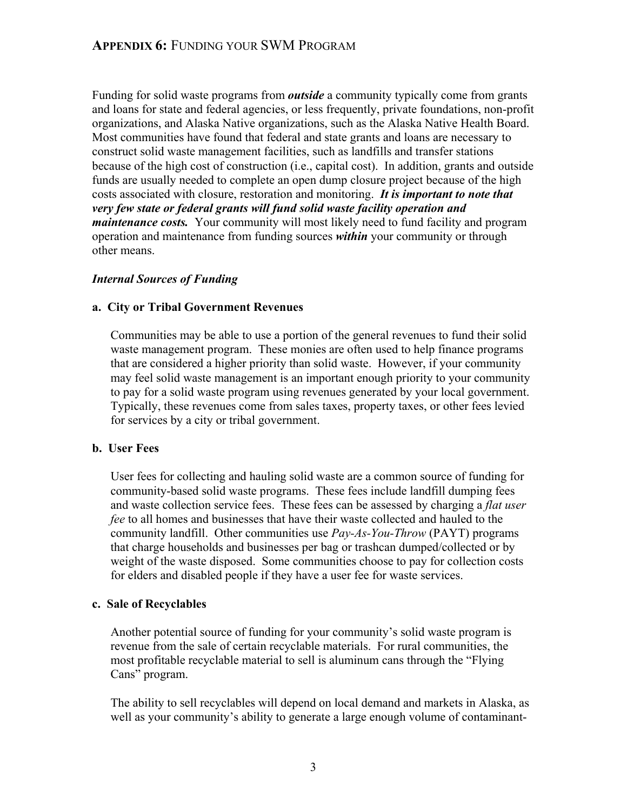Funding for solid waste programs from *outside* a community typically come from grants and loans for state and federal agencies, or less frequently, private foundations, non-profit organizations, and Alaska Native organizations, such as the Alaska Native Health Board. Most communities have found that federal and state grants and loans are necessary to construct solid waste management facilities, such as landfills and transfer stations because of the high cost of construction (i.e., capital cost). In addition, grants and outside funds are usually needed to complete an open dump closure project because of the high costs associated with closure, restoration and monitoring. *It is important to note that very few state or federal grants will fund solid waste facility operation and maintenance costs.* Your community will most likely need to fund facility and program operation and maintenance from funding sources *within* your community or through other means.

# *Internal Sources of Funding*

# **a. City or Tribal Government Revenues**

Communities may be able to use a portion of the general revenues to fund their solid waste management program. These monies are often used to help finance programs that are considered a higher priority than solid waste. However, if your community may feel solid waste management is an important enough priority to your community to pay for a solid waste program using revenues generated by your local government. Typically, these revenues come from sales taxes, property taxes, or other fees levied for services by a city or tribal government.

#### **b. User Fees**

User fees for collecting and hauling solid waste are a common source of funding for community-based solid waste programs. These fees include landfill dumping fees and waste collection service fees. These fees can be assessed by charging a *flat user fee* to all homes and businesses that have their waste collected and hauled to the community landfill. Other communities use *Pay-As-You-Throw* (PAYT) programs that charge households and businesses per bag or trashcan dumped/collected or by weight of the waste disposed. Some communities choose to pay for collection costs for elders and disabled people if they have a user fee for waste services.

# **c. Sale of Recyclables**

Another potential source of funding for your community's solid waste program is revenue from the sale of certain recyclable materials. For rural communities, the most profitable recyclable material to sell is aluminum cans through the "Flying Cans" program.

The ability to sell recyclables will depend on local demand and markets in Alaska, as well as your community's ability to generate a large enough volume of contaminant-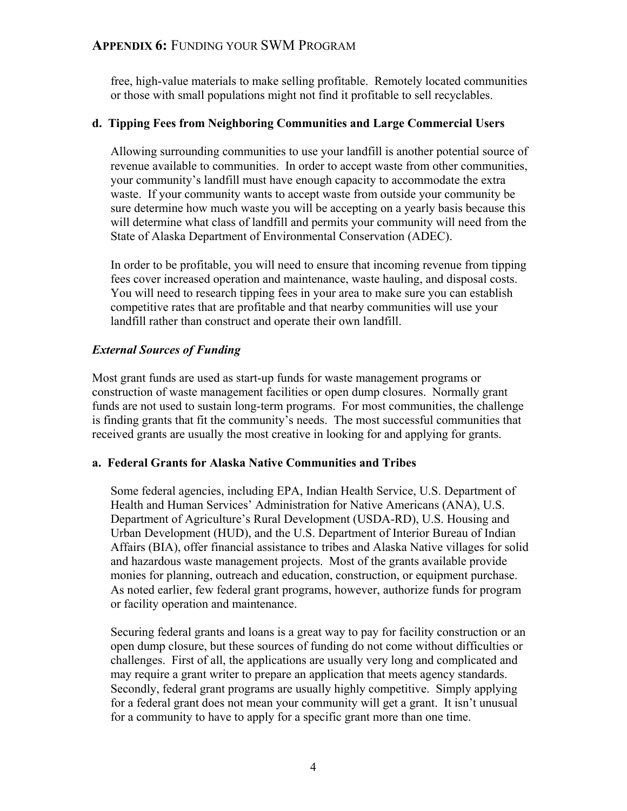free, high-value materials to make selling profitable. Remotely located communities or those with small populations might not find it profitable to sell recyclables.

### **d. Tipping Fees from Neighboring Communities and Large Commercial Users**

Allowing surrounding communities to use your landfill is another potential source of revenue available to communities. In order to accept waste from other communities, your community's landfill must have enough capacity to accommodate the extra waste. If your community wants to accept waste from outside your community be sure determine how much waste you will be accepting on a yearly basis because this will determine what class of landfill and permits your community will need from the State of Alaska Department of Environmental Conservation (ADEC).

In order to be profitable, you will need to ensure that incoming revenue from tipping fees cover increased operation and maintenance, waste hauling, and disposal costs. You will need to research tipping fees in your area to make sure you can establish competitive rates that are profitable and that nearby communities will use your landfill rather than construct and operate their own landfill.

# *External Sources of Funding*

Most grant funds are used as start-up funds for waste management programs or construction of waste management facilities or open dump closures. Normally grant funds are not used to sustain long-term programs. For most communities, the challenge is finding grants that fit the community's needs. The most successful communities that received grants are usually the most creative in looking for and applying for grants.

#### **a. Federal Grants for Alaska Native Communities and Tribes**

Some federal agencies, including EPA, Indian Health Service, U.S. Department of Health and Human Services' Administration for Native Americans (ANA), U.S. Department of Agriculture's Rural Development (USDA-RD), U.S. Housing and Urban Development (HUD), and the U.S. Department of Interior Bureau of Indian Affairs (BIA), offer financial assistance to tribes and Alaska Native villages for solid and hazardous waste management projects. Most of the grants available provide monies for planning, outreach and education, construction, or equipment purchase. As noted earlier, few federal grant programs, however, authorize funds for program or facility operation and maintenance.

Securing federal grants and loans is a great way to pay for facility construction or an open dump closure, but these sources of funding do not come without difficulties or challenges. First of all, the applications are usually very long and complicated and may require a grant writer to prepare an application that meets agency standards. Secondly, federal grant programs are usually highly competitive. Simply applying for a federal grant does not mean your community will get a grant. It isn't unusual for a community to have to apply for a specific grant more than one time.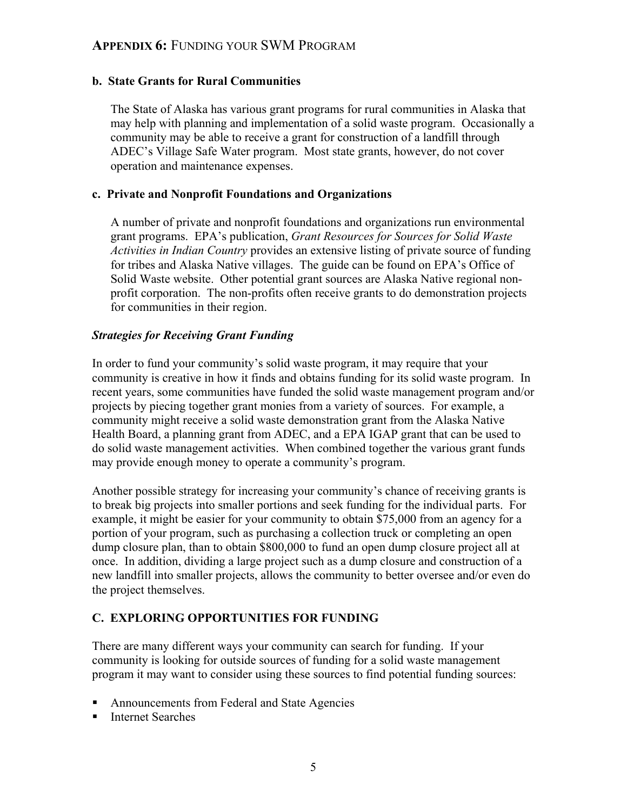### **b. State Grants for Rural Communities**

The State of Alaska has various grant programs for rural communities in Alaska that may help with planning and implementation of a solid waste program. Occasionally a community may be able to receive a grant for construction of a landfill through ADEC's Village Safe Water program. Most state grants, however, do not cover operation and maintenance expenses.

#### **c. Private and Nonprofit Foundations and Organizations**

A number of private and nonprofit foundations and organizations run environmental grant programs. EPA's publication, *Grant Resources for Sources for Solid Waste Activities in Indian Country* provides an extensive listing of private source of funding for tribes and Alaska Native villages. The guide can be found on EPA's Office of Solid Waste website. Other potential grant sources are Alaska Native regional nonprofit corporation. The non-profits often receive grants to do demonstration projects for communities in their region.

#### *Strategies for Receiving Grant Funding*

In order to fund your community's solid waste program, it may require that your community is creative in how it finds and obtains funding for its solid waste program. In recent years, some communities have funded the solid waste management program and/or projects by piecing together grant monies from a variety of sources. For example, a community might receive a solid waste demonstration grant from the Alaska Native Health Board, a planning grant from ADEC, and a EPA IGAP grant that can be used to do solid waste management activities. When combined together the various grant funds may provide enough money to operate a community's program.

Another possible strategy for increasing your community's chance of receiving grants is to break big projects into smaller portions and seek funding for the individual parts. For example, it might be easier for your community to obtain \$75,000 from an agency for a portion of your program, such as purchasing a collection truck or completing an open dump closure plan, than to obtain \$800,000 to fund an open dump closure project all at once. In addition, dividing a large project such as a dump closure and construction of a new landfill into smaller projects, allows the community to better oversee and/or even do the project themselves.

# **C. EXPLORING OPPORTUNITIES FOR FUNDING**

There are many different ways your community can search for funding. If your community is looking for outside sources of funding for a solid waste management program it may want to consider using these sources to find potential funding sources:

- Announcements from Federal and State Agencies
- Internet Searches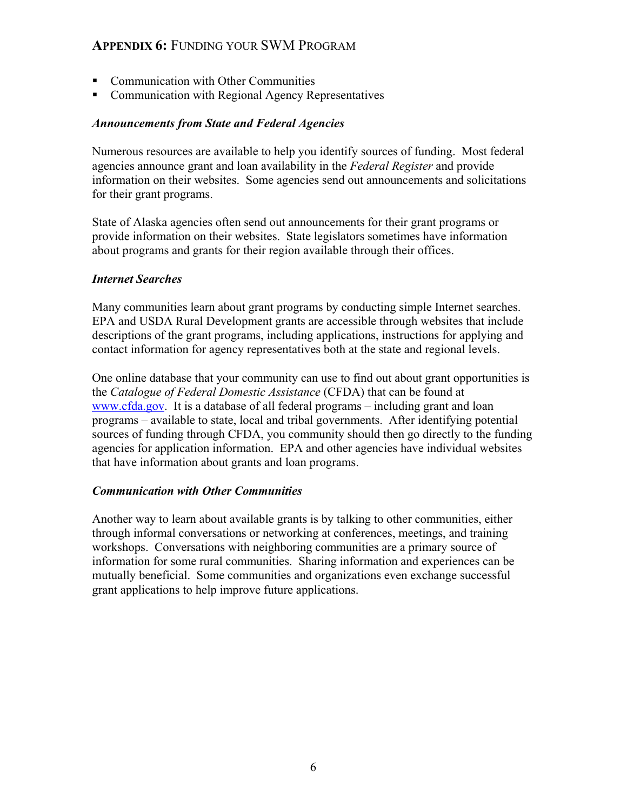- Communication with Other Communities
- Communication with Regional Agency Representatives

#### *Announcements from State and Federal Agencies*

Numerous resources are available to help you identify sources of funding. Most federal agencies announce grant and loan availability in the *Federal Register* and provide information on their websites. Some agencies send out announcements and solicitations for their grant programs.

State of Alaska agencies often send out announcements for their grant programs or provide information on their websites. State legislators sometimes have information about programs and grants for their region available through their offices.

#### *Internet Searches*

Many communities learn about grant programs by conducting simple Internet searches. EPA and USDA Rural Development grants are accessible through websites that include descriptions of the grant programs, including applications, instructions for applying and contact information for agency representatives both at the state and regional levels.

One online database that your community can use to find out about grant opportunities is the *Catalogue of Federal Domestic Assistance* (CFDA) that can be found at www.cfda.gov. It is a database of all federal programs – including grant and loan programs – available to state, local and tribal governments. After identifying potential sources of funding through CFDA, you community should then go directly to the funding agencies for application information. EPA and other agencies have individual websites that have information about grants and loan programs.

#### *Communication with Other Communities*

Another way to learn about available grants is by talking to other communities, either through informal conversations or networking at conferences, meetings, and training workshops. Conversations with neighboring communities are a primary source of information for some rural communities. Sharing information and experiences can be mutually beneficial. Some communities and organizations even exchange successful grant applications to help improve future applications.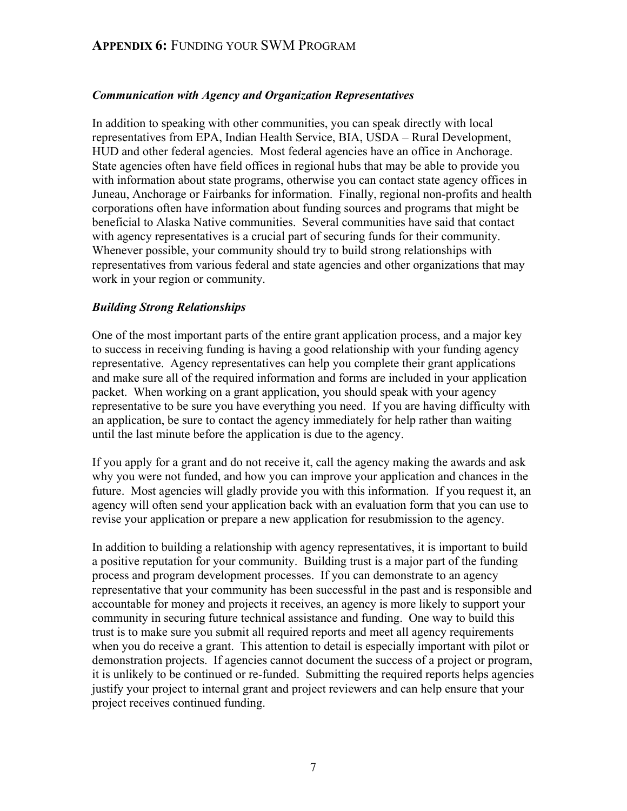### *Communication with Agency and Organization Representatives*

In addition to speaking with other communities, you can speak directly with local representatives from EPA, Indian Health Service, BIA, USDA – Rural Development, HUD and other federal agencies. Most federal agencies have an office in Anchorage. State agencies often have field offices in regional hubs that may be able to provide you with information about state programs, otherwise you can contact state agency offices in Juneau, Anchorage or Fairbanks for information. Finally, regional non-profits and health corporations often have information about funding sources and programs that might be beneficial to Alaska Native communities. Several communities have said that contact with agency representatives is a crucial part of securing funds for their community. Whenever possible, your community should try to build strong relationships with representatives from various federal and state agencies and other organizations that may work in your region or community.

#### *Building Strong Relationships*

One of the most important parts of the entire grant application process, and a major key to success in receiving funding is having a good relationship with your funding agency representative. Agency representatives can help you complete their grant applications and make sure all of the required information and forms are included in your application packet. When working on a grant application, you should speak with your agency representative to be sure you have everything you need. If you are having difficulty with an application, be sure to contact the agency immediately for help rather than waiting until the last minute before the application is due to the agency.

If you apply for a grant and do not receive it, call the agency making the awards and ask why you were not funded, and how you can improve your application and chances in the future. Most agencies will gladly provide you with this information. If you request it, an agency will often send your application back with an evaluation form that you can use to revise your application or prepare a new application for resubmission to the agency.

In addition to building a relationship with agency representatives, it is important to build a positive reputation for your community. Building trust is a major part of the funding process and program development processes. If you can demonstrate to an agency representative that your community has been successful in the past and is responsible and accountable for money and projects it receives, an agency is more likely to support your community in securing future technical assistance and funding. One way to build this trust is to make sure you submit all required reports and meet all agency requirements when you do receive a grant. This attention to detail is especially important with pilot or demonstration projects. If agencies cannot document the success of a project or program, it is unlikely to be continued or re-funded. Submitting the required reports helps agencies justify your project to internal grant and project reviewers and can help ensure that your project receives continued funding.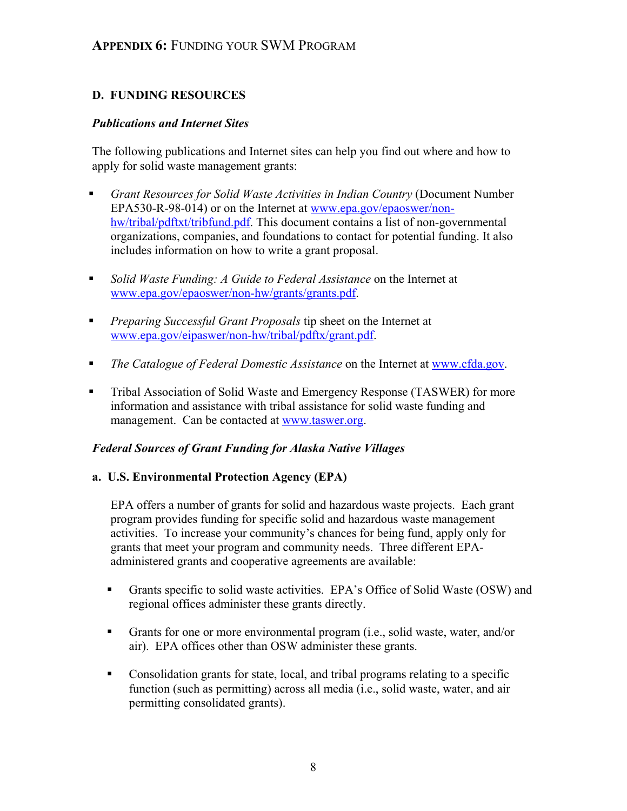# **D. FUNDING RESOURCES**

#### *Publications and Internet Sites*

The following publications and Internet sites can help you find out where and how to apply for solid waste management grants:

- *Grant Resources for Solid Waste Activities in Indian Country* (Document Number EPA530-R-98-014) or on the Internet at www.epa.gov/epaoswer/nonhw/tribal/pdftxt/tribfund.pdf. This document contains a list of non-governmental organizations, companies, and foundations to contact for potential funding. It also includes information on how to write a grant proposal.
- *Solid Waste Funding: A Guide to Federal Assistance* on the Internet at www.epa.gov/epaoswer/non-hw/grants/grants.pdf.
- *Preparing Successful Grant Proposals* tip sheet on the Internet at www.epa.gov/eipaswer/non-hw/tribal/pdftx/grant.pdf.
- *The Catalogue of Federal Domestic Assistance* on the Internet at www.cfda.gov.
- Tribal Association of Solid Waste and Emergency Response (TASWER) for more information and assistance with tribal assistance for solid waste funding and management. Can be contacted at www.taswer.org.

#### *Federal Sources of Grant Funding for Alaska Native Villages*

#### **a. U.S. Environmental Protection Agency (EPA)**

EPA offers a number of grants for solid and hazardous waste projects. Each grant program provides funding for specific solid and hazardous waste management activities. To increase your community's chances for being fund, apply only for grants that meet your program and community needs. Three different EPAadministered grants and cooperative agreements are available:

- Grants specific to solid waste activities. EPA's Office of Solid Waste (OSW) and regional offices administer these grants directly.
- Grants for one or more environmental program (i.e., solid waste, water, and/or air). EPA offices other than OSW administer these grants.
- Consolidation grants for state, local, and tribal programs relating to a specific function (such as permitting) across all media (i.e., solid waste, water, and air permitting consolidated grants).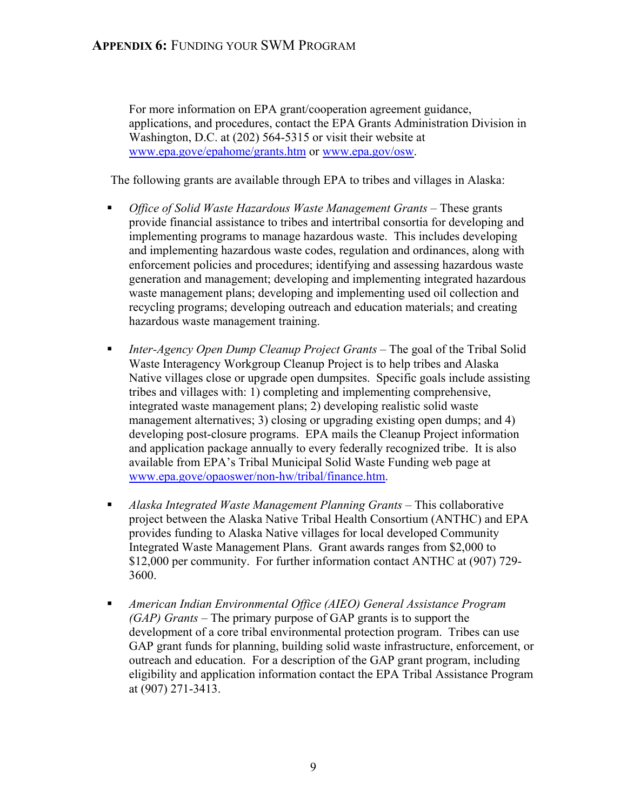For more information on EPA grant/cooperation agreement guidance, applications, and procedures, contact the EPA Grants Administration Division in Washington, D.C. at (202) 564-5315 or visit their website at www.epa.gove/epahome/grants.htm or www.epa.gov/osw.

The following grants are available through EPA to tribes and villages in Alaska:

- **•** *Office of Solid Waste Hazardous Waste Management Grants These grants* provide financial assistance to tribes and intertribal consortia for developing and implementing programs to manage hazardous waste. This includes developing and implementing hazardous waste codes, regulation and ordinances, along with enforcement policies and procedures; identifying and assessing hazardous waste generation and management; developing and implementing integrated hazardous waste management plans; developing and implementing used oil collection and recycling programs; developing outreach and education materials; and creating hazardous waste management training.
- *Inter-Agency Open Dump Cleanup Project Grants*  The goal of the Tribal Solid Waste Interagency Workgroup Cleanup Project is to help tribes and Alaska Native villages close or upgrade open dumpsites. Specific goals include assisting tribes and villages with: 1) completing and implementing comprehensive, integrated waste management plans; 2) developing realistic solid waste management alternatives; 3) closing or upgrading existing open dumps; and 4) developing post-closure programs. EPA mails the Cleanup Project information and application package annually to every federally recognized tribe. It is also available from EPA's Tribal Municipal Solid Waste Funding web page at www.epa.gove/opaoswer/non-hw/tribal/finance.htm.
- **•** *Alaska Integrated Waste Management Planning Grants* This collaborative project between the Alaska Native Tribal Health Consortium (ANTHC) and EPA provides funding to Alaska Native villages for local developed Community Integrated Waste Management Plans. Grant awards ranges from \$2,000 to \$12,000 per community. For further information contact ANTHC at (907) 729- 3600.
- *American Indian Environmental Office (AIEO) General Assistance Program (GAP) Grants* – The primary purpose of GAP grants is to support the development of a core tribal environmental protection program. Tribes can use GAP grant funds for planning, building solid waste infrastructure, enforcement, or outreach and education. For a description of the GAP grant program, including eligibility and application information contact the EPA Tribal Assistance Program at (907) 271-3413.